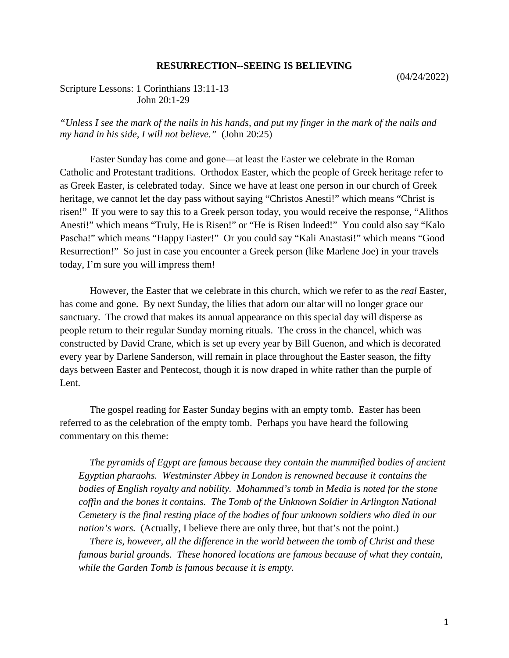## **RESURRECTION--SEEING IS BELIEVING**

## Scripture Lessons: 1 Corinthians 13:11-13 John 20:1-29

*"Unless I see the mark of the nails in his hands, and put my finger in the mark of the nails and my hand in his side, I will not believe."* (John 20:25)

Easter Sunday has come and gone—at least the Easter we celebrate in the Roman Catholic and Protestant traditions. Orthodox Easter, which the people of Greek heritage refer to as Greek Easter, is celebrated today. Since we have at least one person in our church of Greek heritage, we cannot let the day pass without saying "Christos Anesti!" which means "Christ is risen!" If you were to say this to a Greek person today, you would receive the response, "Alithos Anesti!" which means "Truly, He is Risen!" or "He is Risen Indeed!" You could also say "Kalo Pascha!" which means "Happy Easter!" Or you could say "Kali Anastasi!" which means "Good Resurrection!" So just in case you encounter a Greek person (like Marlene Joe) in your travels today, I'm sure you will impress them!

However, the Easter that we celebrate in this church, which we refer to as the *real* Easter, has come and gone. By next Sunday, the lilies that adorn our altar will no longer grace our sanctuary. The crowd that makes its annual appearance on this special day will disperse as people return to their regular Sunday morning rituals. The cross in the chancel, which was constructed by David Crane, which is set up every year by Bill Guenon, and which is decorated every year by Darlene Sanderson, will remain in place throughout the Easter season, the fifty days between Easter and Pentecost, though it is now draped in white rather than the purple of Lent.

The gospel reading for Easter Sunday begins with an empty tomb. Easter has been referred to as the celebration of the empty tomb. Perhaps you have heard the following commentary on this theme:

*The pyramids of Egypt are famous because they contain the mummified bodies of ancient Egyptian pharaohs. Westminster Abbey in London is renowned because it contains the bodies of English royalty and nobility. Mohammed's tomb in Media is noted for the stone coffin and the bones it contains. The Tomb of the Unknown Soldier in Arlington National Cemetery is the final resting place of the bodies of four unknown soldiers who died in our nation's wars.* (Actually, I believe there are only three, but that's not the point.)

*There is, however, all the difference in the world between the tomb of Christ and these famous burial grounds. These honored locations are famous because of what they contain, while the Garden Tomb is famous because it is empty.*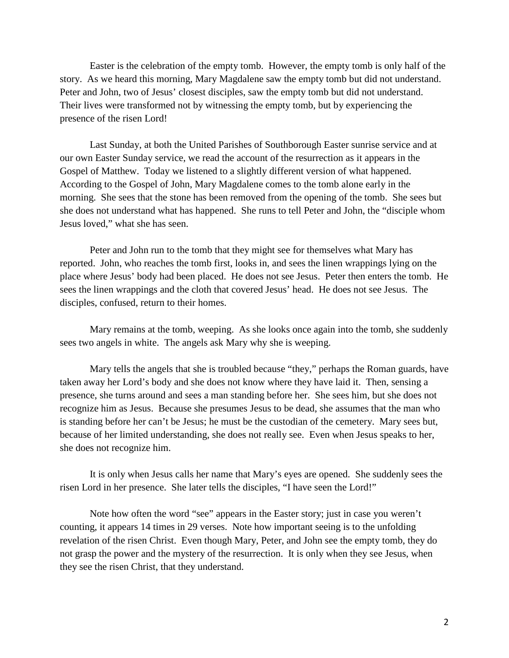Easter is the celebration of the empty tomb. However, the empty tomb is only half of the story. As we heard this morning, Mary Magdalene saw the empty tomb but did not understand. Peter and John, two of Jesus' closest disciples, saw the empty tomb but did not understand. Their lives were transformed not by witnessing the empty tomb, but by experiencing the presence of the risen Lord!

Last Sunday, at both the United Parishes of Southborough Easter sunrise service and at our own Easter Sunday service, we read the account of the resurrection as it appears in the Gospel of Matthew. Today we listened to a slightly different version of what happened. According to the Gospel of John, Mary Magdalene comes to the tomb alone early in the morning. She sees that the stone has been removed from the opening of the tomb. She sees but she does not understand what has happened. She runs to tell Peter and John, the "disciple whom Jesus loved," what she has seen.

Peter and John run to the tomb that they might see for themselves what Mary has reported. John, who reaches the tomb first, looks in, and sees the linen wrappings lying on the place where Jesus' body had been placed. He does not see Jesus. Peter then enters the tomb. He sees the linen wrappings and the cloth that covered Jesus' head. He does not see Jesus. The disciples, confused, return to their homes.

Mary remains at the tomb, weeping. As she looks once again into the tomb, she suddenly sees two angels in white. The angels ask Mary why she is weeping.

Mary tells the angels that she is troubled because "they," perhaps the Roman guards, have taken away her Lord's body and she does not know where they have laid it. Then, sensing a presence, she turns around and sees a man standing before her. She sees him, but she does not recognize him as Jesus. Because she presumes Jesus to be dead, she assumes that the man who is standing before her can't be Jesus; he must be the custodian of the cemetery. Mary sees but, because of her limited understanding, she does not really see. Even when Jesus speaks to her, she does not recognize him.

It is only when Jesus calls her name that Mary's eyes are opened. She suddenly sees the risen Lord in her presence. She later tells the disciples, "I have seen the Lord!"

Note how often the word "see" appears in the Easter story; just in case you weren't counting, it appears 14 times in 29 verses. Note how important seeing is to the unfolding revelation of the risen Christ. Even though Mary, Peter, and John see the empty tomb, they do not grasp the power and the mystery of the resurrection. It is only when they see Jesus, when they see the risen Christ, that they understand.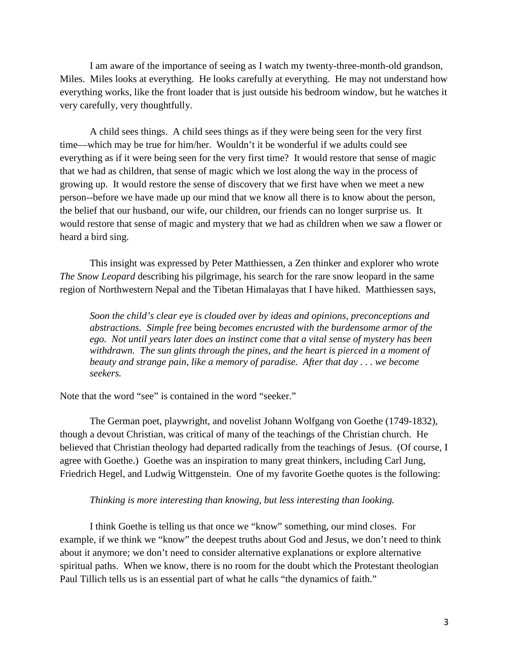I am aware of the importance of seeing as I watch my twenty-three-month-old grandson, Miles. Miles looks at everything. He looks carefully at everything. He may not understand how everything works, like the front loader that is just outside his bedroom window, but he watches it very carefully, very thoughtfully.

A child sees things. A child sees things as if they were being seen for the very first time—which may be true for him/her. Wouldn't it be wonderful if we adults could see everything as if it were being seen for the very first time? It would restore that sense of magic that we had as children, that sense of magic which we lost along the way in the process of growing up. It would restore the sense of discovery that we first have when we meet a new person--before we have made up our mind that we know all there is to know about the person, the belief that our husband, our wife, our children, our friends can no longer surprise us. It would restore that sense of magic and mystery that we had as children when we saw a flower or heard a bird sing.

This insight was expressed by Peter Matthiessen, a Zen thinker and explorer who wrote *The Snow Leopard* describing his pilgrimage, his search for the rare snow leopard in the same region of Northwestern Nepal and the Tibetan Himalayas that I have hiked. Matthiessen says,

*Soon the child's clear eye is clouded over by ideas and opinions, preconceptions and abstractions. Simple free* being *becomes encrusted with the burdensome armor of the ego. Not until years later does an instinct come that a vital sense of mystery has been withdrawn. The sun glints through the pines, and the heart is pierced in a moment of beauty and strange pain, like a memory of paradise. After that day . . . we become seekers.*

Note that the word "see" is contained in the word "seeker."

The German poet, playwright, and novelist Johann Wolfgang von Goethe (1749-1832), though a devout Christian, was critical of many of the teachings of the Christian church. He believed that Christian theology had departed radically from the teachings of Jesus. (Of course, I agree with Goethe.) Goethe was an inspiration to many great thinkers, including Carl Jung, Friedrich Hegel, and Ludwig Wittgenstein. One of my favorite Goethe quotes is the following:

## *Thinking is more interesting than knowing, but less interesting than looking.*

I think Goethe is telling us that once we "know" something, our mind closes. For example, if we think we "know" the deepest truths about God and Jesus, we don't need to think about it anymore; we don't need to consider alternative explanations or explore alternative spiritual paths. When we know, there is no room for the doubt which the Protestant theologian Paul Tillich tells us is an essential part of what he calls "the dynamics of faith."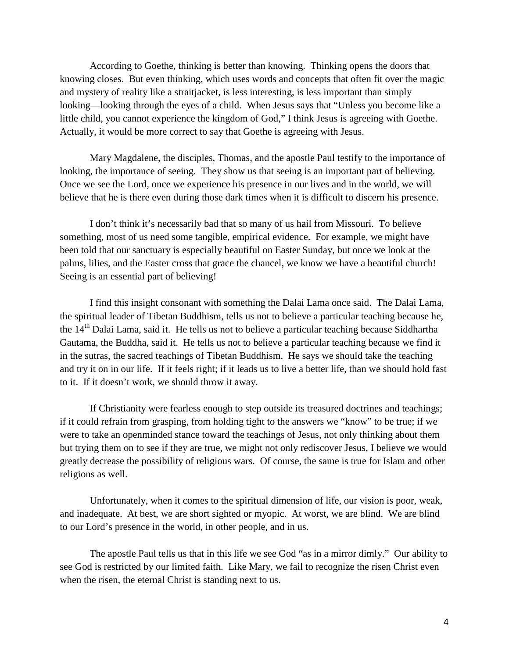According to Goethe, thinking is better than knowing. Thinking opens the doors that knowing closes. But even thinking, which uses words and concepts that often fit over the magic and mystery of reality like a straitjacket, is less interesting, is less important than simply looking—looking through the eyes of a child. When Jesus says that "Unless you become like a little child, you cannot experience the kingdom of God," I think Jesus is agreeing with Goethe. Actually, it would be more correct to say that Goethe is agreeing with Jesus.

Mary Magdalene, the disciples, Thomas, and the apostle Paul testify to the importance of looking, the importance of seeing. They show us that seeing is an important part of believing. Once we see the Lord, once we experience his presence in our lives and in the world, we will believe that he is there even during those dark times when it is difficult to discern his presence.

I don't think it's necessarily bad that so many of us hail from Missouri. To believe something, most of us need some tangible, empirical evidence. For example, we might have been told that our sanctuary is especially beautiful on Easter Sunday, but once we look at the palms, lilies, and the Easter cross that grace the chancel, we know we have a beautiful church! Seeing is an essential part of believing!

I find this insight consonant with something the Dalai Lama once said. The Dalai Lama, the spiritual leader of Tibetan Buddhism, tells us not to believe a particular teaching because he, the 14<sup>th</sup> Dalai Lama, said it. He tells us not to believe a particular teaching because Siddhartha Gautama, the Buddha, said it. He tells us not to believe a particular teaching because we find it in the sutras, the sacred teachings of Tibetan Buddhism. He says we should take the teaching and try it on in our life. If it feels right; if it leads us to live a better life, than we should hold fast to it. If it doesn't work, we should throw it away.

If Christianity were fearless enough to step outside its treasured doctrines and teachings; if it could refrain from grasping, from holding tight to the answers we "know" to be true; if we were to take an openminded stance toward the teachings of Jesus, not only thinking about them but trying them on to see if they are true, we might not only rediscover Jesus, I believe we would greatly decrease the possibility of religious wars. Of course, the same is true for Islam and other religions as well.

Unfortunately, when it comes to the spiritual dimension of life, our vision is poor, weak, and inadequate. At best, we are short sighted or myopic. At worst, we are blind. We are blind to our Lord's presence in the world, in other people, and in us.

The apostle Paul tells us that in this life we see God "as in a mirror dimly." Our ability to see God is restricted by our limited faith. Like Mary, we fail to recognize the risen Christ even when the risen, the eternal Christ is standing next to us.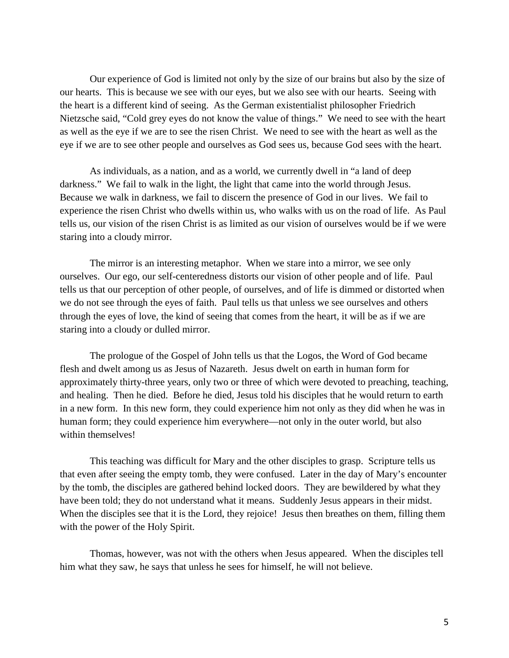Our experience of God is limited not only by the size of our brains but also by the size of our hearts. This is because we see with our eyes, but we also see with our hearts. Seeing with the heart is a different kind of seeing. As the German existentialist philosopher Friedrich Nietzsche said, "Cold grey eyes do not know the value of things." We need to see with the heart as well as the eye if we are to see the risen Christ. We need to see with the heart as well as the eye if we are to see other people and ourselves as God sees us, because God sees with the heart.

As individuals, as a nation, and as a world, we currently dwell in "a land of deep darkness." We fail to walk in the light, the light that came into the world through Jesus. Because we walk in darkness, we fail to discern the presence of God in our lives. We fail to experience the risen Christ who dwells within us, who walks with us on the road of life. As Paul tells us, our vision of the risen Christ is as limited as our vision of ourselves would be if we were staring into a cloudy mirror.

The mirror is an interesting metaphor. When we stare into a mirror, we see only ourselves. Our ego, our self-centeredness distorts our vision of other people and of life. Paul tells us that our perception of other people, of ourselves, and of life is dimmed or distorted when we do not see through the eyes of faith. Paul tells us that unless we see ourselves and others through the eyes of love, the kind of seeing that comes from the heart, it will be as if we are staring into a cloudy or dulled mirror.

The prologue of the Gospel of John tells us that the Logos, the Word of God became flesh and dwelt among us as Jesus of Nazareth. Jesus dwelt on earth in human form for approximately thirty-three years, only two or three of which were devoted to preaching, teaching, and healing. Then he died. Before he died, Jesus told his disciples that he would return to earth in a new form. In this new form, they could experience him not only as they did when he was in human form; they could experience him everywhere—not only in the outer world, but also within themselves!

This teaching was difficult for Mary and the other disciples to grasp. Scripture tells us that even after seeing the empty tomb, they were confused. Later in the day of Mary's encounter by the tomb, the disciples are gathered behind locked doors. They are bewildered by what they have been told; they do not understand what it means. Suddenly Jesus appears in their midst. When the disciples see that it is the Lord, they rejoice! Jesus then breathes on them, filling them with the power of the Holy Spirit.

Thomas, however, was not with the others when Jesus appeared. When the disciples tell him what they saw, he says that unless he sees for himself, he will not believe.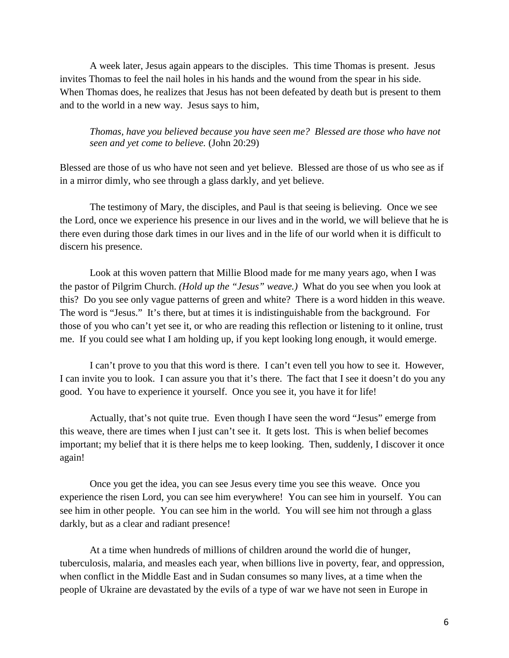A week later, Jesus again appears to the disciples. This time Thomas is present. Jesus invites Thomas to feel the nail holes in his hands and the wound from the spear in his side. When Thomas does, he realizes that Jesus has not been defeated by death but is present to them and to the world in a new way. Jesus says to him,

*Thomas, have you believed because you have seen me? Blessed are those who have not seen and yet come to believe.* (John 20:29)

Blessed are those of us who have not seen and yet believe. Blessed are those of us who see as if in a mirror dimly, who see through a glass darkly, and yet believe.

The testimony of Mary, the disciples, and Paul is that seeing is believing. Once we see the Lord, once we experience his presence in our lives and in the world, we will believe that he is there even during those dark times in our lives and in the life of our world when it is difficult to discern his presence.

Look at this woven pattern that Millie Blood made for me many years ago, when I was the pastor of Pilgrim Church. *(Hold up the "Jesus" weave.)* What do you see when you look at this? Do you see only vague patterns of green and white? There is a word hidden in this weave. The word is "Jesus." It's there, but at times it is indistinguishable from the background. For those of you who can't yet see it, or who are reading this reflection or listening to it online, trust me. If you could see what I am holding up, if you kept looking long enough, it would emerge.

I can't prove to you that this word is there. I can't even tell you how to see it. However, I can invite you to look. I can assure you that it's there. The fact that I see it doesn't do you any good. You have to experience it yourself. Once you see it, you have it for life!

Actually, that's not quite true. Even though I have seen the word "Jesus" emerge from this weave, there are times when I just can't see it. It gets lost. This is when belief becomes important; my belief that it is there helps me to keep looking. Then, suddenly, I discover it once again!

Once you get the idea, you can see Jesus every time you see this weave. Once you experience the risen Lord, you can see him everywhere! You can see him in yourself. You can see him in other people. You can see him in the world. You will see him not through a glass darkly, but as a clear and radiant presence!

At a time when hundreds of millions of children around the world die of hunger, tuberculosis, malaria, and measles each year, when billions live in poverty, fear, and oppression, when conflict in the Middle East and in Sudan consumes so many lives, at a time when the people of Ukraine are devastated by the evils of a type of war we have not seen in Europe in